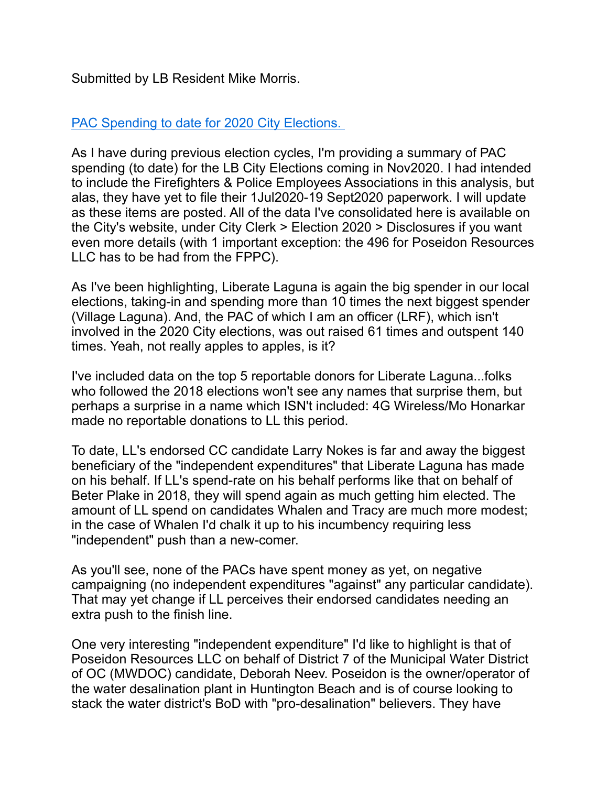Submitted by LB Resident Mike Morris.

## PAC Spending to date for 2020 City Elections.

As I have during previous election cycles, I'm providing a summary of PAC spending (to date) for the LB City Elections coming in Nov2020. I had intended to include the Firefighters & Police Employees Associations in this analysis, but alas, they have yet to file their 1Jul2020-19 Sept2020 paperwork. I will update as these items are posted. All of the data I've consolidated here is available on the City's website, under City Clerk > Election 2020 > Disclosures if you want even more details (with 1 important exception: the 496 for Poseidon Resources LLC has to be had from the FPPC).

As I've been highlighting, Liberate Laguna is again the big spender in our local elections, taking-in and spending more than 10 times the next biggest spender (Village Laguna). And, the PAC of which I am an officer (LRF), which isn't involved in the 2020 City elections, was out raised 61 times and outspent 140 times. Yeah, not really apples to apples, is it?

I've included data on the top 5 reportable donors for Liberate Laguna...folks who followed the 2018 elections won't see any names that surprise them, but perhaps a surprise in a name which ISN't included: 4G Wireless/Mo Honarkar made no reportable donations to LL this period.

To date, LL's endorsed CC candidate Larry Nokes is far and away the biggest beneficiary of the "independent expenditures" that Liberate Laguna has made on his behalf. If LL's spend-rate on his behalf performs like that on behalf of Beter Plake in 2018, they will spend again as much getting him elected. The amount of LL spend on candidates Whalen and Tracy are much more modest; in the case of Whalen I'd chalk it up to his incumbency requiring less "independent" push than a new-comer.

As you'll see, none of the PACs have spent money as yet, on negative campaigning (no independent expenditures "against" any particular candidate). That may yet change if LL perceives their endorsed candidates needing an extra push to the finish line.

One very interesting "independent expenditure" I'd like to highlight is that of Poseidon Resources LLC on behalf of District 7 of the Municipal Water District of OC (MWDOC) candidate, Deborah Neev. Poseidon is the owner/operator of the water desalination plant in Huntington Beach and is of course looking to stack the water district's BoD with "pro-desalination" believers. They have